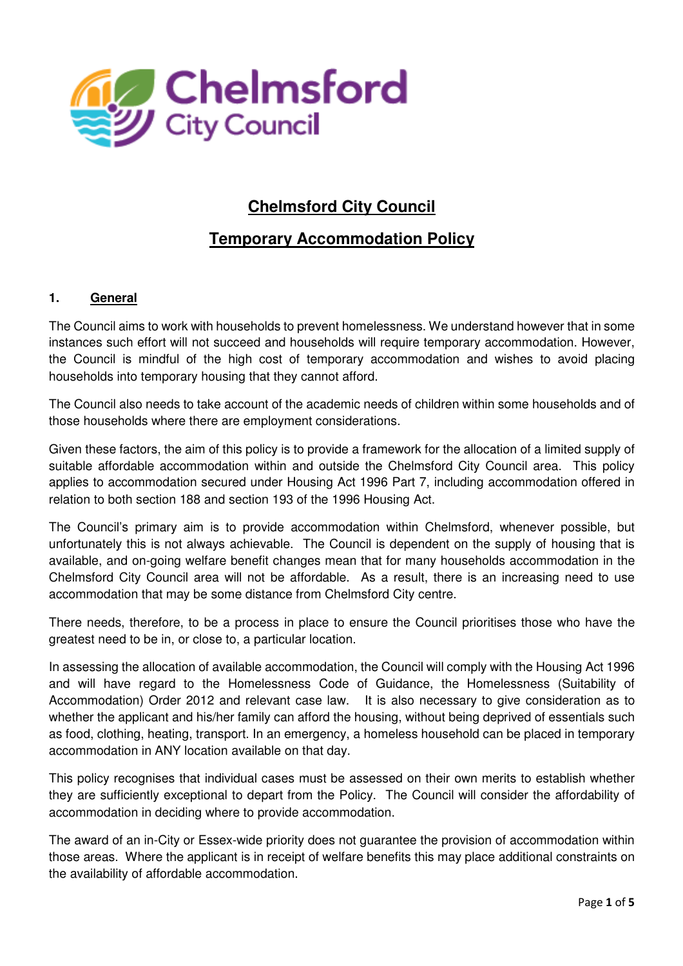

# **Chelmsford City Council**

# **Temporary Accommodation Policy**

#### **1. General**

The Council aims to work with households to prevent homelessness. We understand however that in some instances such effort will not succeed and households will require temporary accommodation. However, the Council is mindful of the high cost of temporary accommodation and wishes to avoid placing households into temporary housing that they cannot afford.

The Council also needs to take account of the academic needs of children within some households and of those households where there are employment considerations.

Given these factors, the aim of this policy is to provide a framework for the allocation of a limited supply of suitable affordable accommodation within and outside the Chelmsford City Council area. This policy applies to accommodation secured under Housing Act 1996 Part 7, including accommodation offered in relation to both section 188 and section 193 of the 1996 Housing Act.

The Council's primary aim is to provide accommodation within Chelmsford, whenever possible, but unfortunately this is not always achievable. The Council is dependent on the supply of housing that is available, and on-going welfare benefit changes mean that for many households accommodation in the Chelmsford City Council area will not be affordable. As a result, there is an increasing need to use accommodation that may be some distance from Chelmsford City centre.

There needs, therefore, to be a process in place to ensure the Council prioritises those who have the greatest need to be in, or close to, a particular location.

In assessing the allocation of available accommodation, the Council will comply with the Housing Act 1996 and will have regard to the Homelessness Code of Guidance, the Homelessness (Suitability of Accommodation) Order 2012 and relevant case law.It is also necessary to give consideration as to whether the applicant and his/her family can afford the housing, without being deprived of essentials such as food, clothing, heating, transport. In an emergency, a homeless household can be placed in temporary accommodation in ANY location available on that day.

This policy recognises that individual cases must be assessed on their own merits to establish whether they are sufficiently exceptional to depart from the Policy. The Council will consider the affordability of accommodation in deciding where to provide accommodation.

The award of an in-City or Essex-wide priority does not guarantee the provision of accommodation within those areas. Where the applicant is in receipt of welfare benefits this may place additional constraints on the availability of affordable accommodation.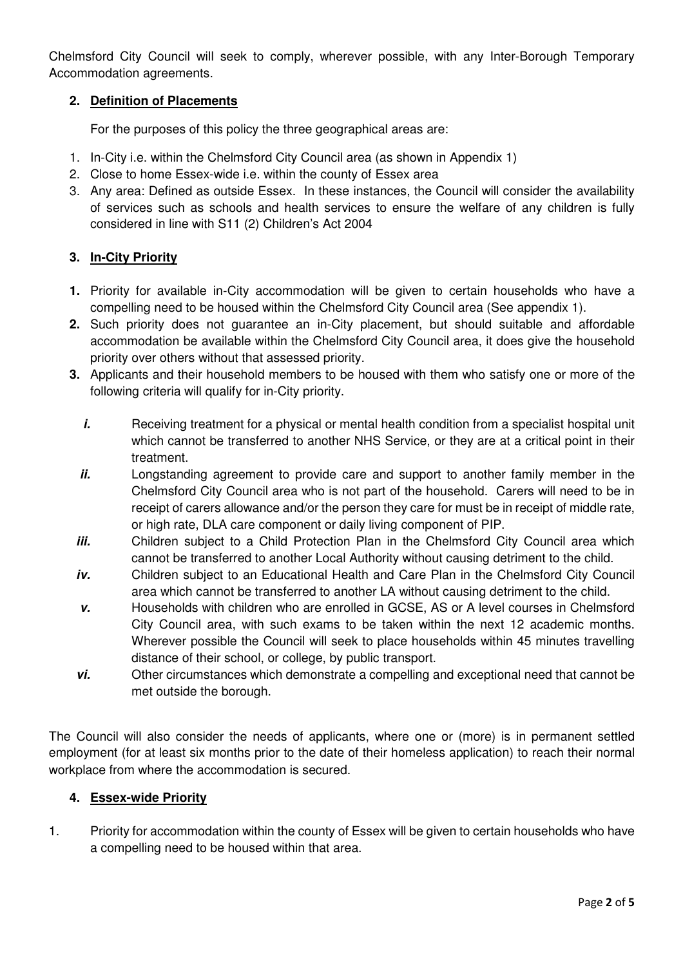Chelmsford City Council will seek to comply, wherever possible, with any Inter-Borough Temporary Accommodation agreements.

# **2. Definition of Placements**

For the purposes of this policy the three geographical areas are:

- 1. In-City i.e. within the Chelmsford City Council area (as shown in Appendix 1)
- 2. Close to home Essex-wide i.e. within the county of Essex area
- 3. Any area: Defined as outside Essex. In these instances, the Council will consider the availability of services such as schools and health services to ensure the welfare of any children is fully considered in line with S11 (2) Children's Act 2004

#### **3. In-City Priority**

- **1.** Priority for available in-City accommodation will be given to certain households who have a compelling need to be housed within the Chelmsford City Council area (See appendix 1).
- **2.** Such priority does not guarantee an in-City placement, but should suitable and affordable accommodation be available within the Chelmsford City Council area, it does give the household priority over others without that assessed priority.
- **3.** Applicants and their household members to be housed with them who satisfy one or more of the following criteria will qualify for in-City priority.
	- *i.* Receiving treatment for a physical or mental health condition from a specialist hospital unit which cannot be transferred to another NHS Service, or they are at a critical point in their treatment.
	- **ii. Longstanding agreement to provide care and support to another family member in the** Chelmsford City Council area who is not part of the household. Carers will need to be in receipt of carers allowance and/or the person they care for must be in receipt of middle rate, or high rate, DLA care component or daily living component of PIP.
	- **iii.** Children subject to a Child Protection Plan in the Chelmsford City Council area which cannot be transferred to another Local Authority without causing detriment to the child.
	- **iv.** Children subject to an Educational Health and Care Plan in the Chelmsford City Council area which cannot be transferred to another LA without causing detriment to the child.
	- **v.** Households with children who are enrolled in GCSE, AS or A level courses in Chelmsford City Council area, with such exams to be taken within the next 12 academic months. Wherever possible the Council will seek to place households within 45 minutes travelling distance of their school, or college, by public transport.
	- **vi.** Other circumstances which demonstrate a compelling and exceptional need that cannot be met outside the borough.

The Council will also consider the needs of applicants, where one or (more) is in permanent settled employment (for at least six months prior to the date of their homeless application) to reach their normal workplace from where the accommodation is secured.

#### **4. Essex-wide Priority**

1. Priority for accommodation within the county of Essex will be given to certain households who have a compelling need to be housed within that area.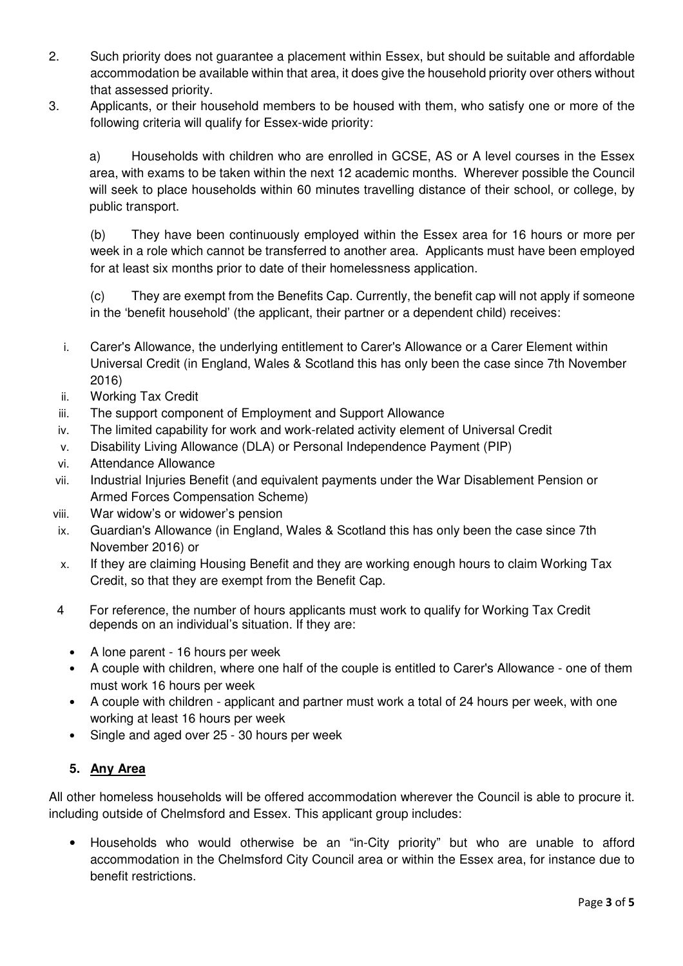- 2. Such priority does not guarantee a placement within Essex, but should be suitable and affordable accommodation be available within that area, it does give the household priority over others without that assessed priority.
- 3. Applicants, or their household members to be housed with them, who satisfy one or more of the following criteria will qualify for Essex-wide priority:

a) Households with children who are enrolled in GCSE, AS or A level courses in the Essex area, with exams to be taken within the next 12 academic months. Wherever possible the Council will seek to place households within 60 minutes travelling distance of their school, or college, by public transport.

(b) They have been continuously employed within the Essex area for 16 hours or more per week in a role which cannot be transferred to another area. Applicants must have been employed for at least six months prior to date of their homelessness application.

(c) They are exempt from the Benefits Cap. Currently, the benefit cap will not apply if someone in the 'benefit household' (the applicant, their partner or a dependent child) receives:

- i. Carer's Allowance, the underlying entitlement to Carer's Allowance or a Carer Element within Universal Credit (in England, Wales & Scotland this has only been the case since 7th November 2016)
- ii. Working Tax Credit
- iii. The support component of Employment and Support Allowance
- iv. The limited capability for work and work-related activity element of Universal Credit
- v. Disability Living Allowance (DLA) or Personal Independence Payment (PIP)
- vi. Attendance Allowance
- vii. Industrial Injuries Benefit (and equivalent payments under the War Disablement Pension or Armed Forces Compensation Scheme)
- viii. War widow's or widower's pension
- ix. Guardian's Allowance (in England, Wales & Scotland this has only been the case since 7th November 2016) or
- x. If they are claiming Housing Benefit and they are working enough hours to claim Working Tax Credit, so that they are exempt from the Benefit Cap.
- 4 For reference, the number of hours applicants must work to qualify for Working Tax Credit depends on an individual's situation. If they are:
	- A lone parent 16 hours per week
	- A couple with children, where one half of the couple is entitled to Carer's Allowance one of them must work 16 hours per week
	- A couple with children applicant and partner must work a total of 24 hours per week, with one working at least 16 hours per week
	- Single and aged over 25 30 hours per week

# **5. Any Area**

All other homeless households will be offered accommodation wherever the Council is able to procure it. including outside of Chelmsford and Essex. This applicant group includes:

• Households who would otherwise be an "in-City priority" but who are unable to afford accommodation in the Chelmsford City Council area or within the Essex area, for instance due to benefit restrictions.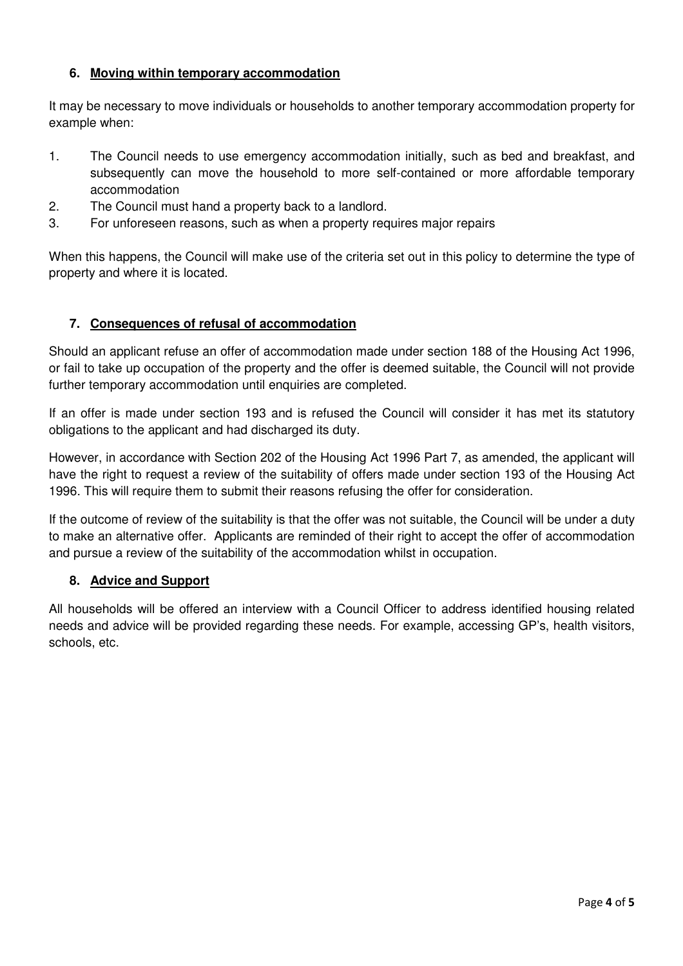### **6. Moving within temporary accommodation**

It may be necessary to move individuals or households to another temporary accommodation property for example when:

- 1. The Council needs to use emergency accommodation initially, such as bed and breakfast, and subsequently can move the household to more self-contained or more affordable temporary accommodation
- 2. The Council must hand a property back to a landlord.
- 3. For unforeseen reasons, such as when a property requires major repairs

When this happens, the Council will make use of the criteria set out in this policy to determine the type of property and where it is located.

#### **7. Consequences of refusal of accommodation**

Should an applicant refuse an offer of accommodation made under section 188 of the Housing Act 1996, or fail to take up occupation of the property and the offer is deemed suitable, the Council will not provide further temporary accommodation until enquiries are completed.

If an offer is made under section 193 and is refused the Council will consider it has met its statutory obligations to the applicant and had discharged its duty.

However, in accordance with Section 202 of the Housing Act 1996 Part 7, as amended, the applicant will have the right to request a review of the suitability of offers made under section 193 of the Housing Act 1996. This will require them to submit their reasons refusing the offer for consideration.

If the outcome of review of the suitability is that the offer was not suitable, the Council will be under a duty to make an alternative offer. Applicants are reminded of their right to accept the offer of accommodation and pursue a review of the suitability of the accommodation whilst in occupation.

# **8. Advice and Support**

All households will be offered an interview with a Council Officer to address identified housing related needs and advice will be provided regarding these needs. For example, accessing GP's, health visitors, schools, etc.